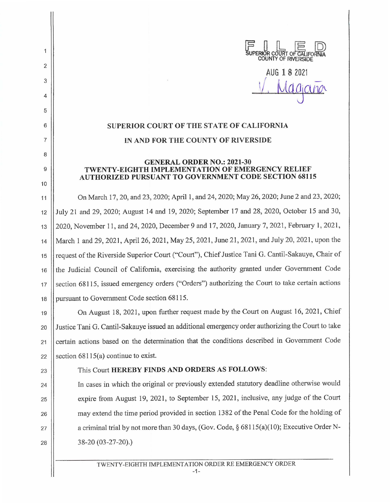

AUG 1 8 2021 *<sup>f</sup>* /, Maganor

## **SUPERIOR COURT OF THE STATE OF CALIFORNIA IN AND FOR THE COUNTY OF RIVERSIDE**

## **GENERAL ORDER NO.: 2021-30 TWENTY-EIGHTH IMPLEMENTATION OF EMERGENCY RELIEF AUTHORIZED PURSUANT TO GOVERNMENT CODE SECTION 68115**

11 | On March 17, 20, and 23, 2020; April 1, and 24, 2020; May 26, 2020; June 2 and 23, 2020; 12 July 21 and 29, 2020; August 14 and 19, 2020; September 17 and 28, 2020, October 15 and 30, 13 || 2020, November 11, and 24, 2020, December 9 and 17, 2020, January 7, 2021, February 1, 2021, 14 March 1 and 29, 2021, April 26, 2021, May 25, 2021, June 21, 2021, and July 20, 2021, upon the 15 || request of the Riverside Superior Court ("Court"), Chief Justice Tani G. Cantil-Sakauye, Chair of 16 | the Judicial Council of California, exercising the authority granted under Government Code 17 Section 68115, issued emergency orders ("Orders") authorizing the Court to take certain actions 18 | pursuant to Government Code section 68115.

19 On August 18, 2021, upon further request made by the Court on August 16, 2021, Chief 20 Justice Tani G. Cantil-Sakauye issued an additional emergency order authorizing the Court to take 21 Certain actions based on the determination that the conditions described in Government Code 22 Section  $68115(a)$  continue to exist.

2

 $\mathbf{1}$ 

3

4

5

6

7

8

9

10

## 23 | This Court **HEREBY FINDS AND ORDERS AS FOLLOWS:**

24 | In cases in which the original or previously extended statutory deadline otherwise would 25 | expire from August 19, 2021, to September 15, 2021, inclusive, any judge of the Court 26 | may extend the time period provided in section 1382 of the Penal Code for the holding of 27  $\vert$  a criminal trial by not more than 30 days, (Gov. Code, § 68115(a)(10); Executive Order N-28 38-20 (03-27-20).)